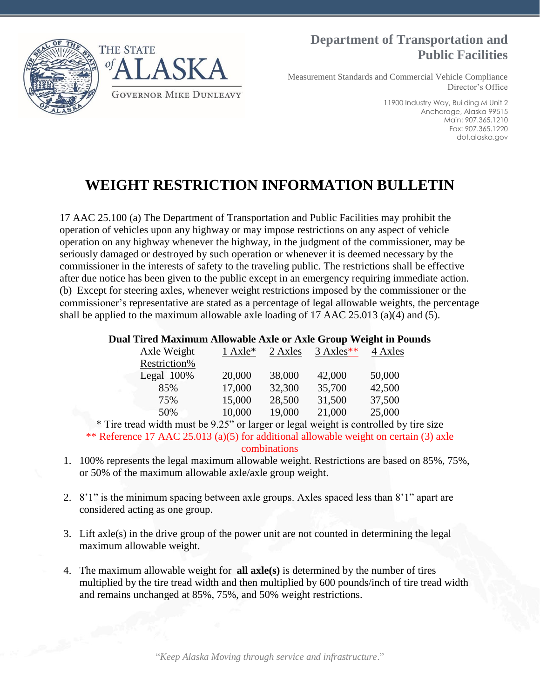

### **Department of Transportation and Public Facilities**

Measurement Standards and Commercial Vehicle Compliance Director's Office

> 11900 Industry Way, Building M Unit 2 Anchorage, Alaska 99515 Main: 907.365.1210 Fax: 907.365.1220 dot.alaska.gov

# **WEIGHT RESTRICTION INFORMATION BULLETIN**

17 AAC 25.100 (a) The Department of Transportation and Public Facilities may prohibit the operation of vehicles upon any highway or may impose restrictions on any aspect of vehicle operation on any highway whenever the highway, in the judgment of the commissioner, may be seriously damaged or destroyed by such operation or whenever it is deemed necessary by the commissioner in the interests of safety to the traveling public. The restrictions shall be effective after due notice has been given to the public except in an emergency requiring immediate action. (b) Except for steering axles, whenever weight restrictions imposed by the commissioner or the commissioner's representative are stated as a percentage of legal allowable weights, the percentage shall be applied to the maximum allowable axle loading of 17 AAC 25.013 (a)(4) and (5).

#### **Dual Tired Maximum Allowable Axle or Axle Group Weight in Pounds**

| Axle Weight   | $1$ Axle <sup>*</sup> | 2 Axles | $3$ Axles** | 4 Axles |
|---------------|-----------------------|---------|-------------|---------|
| Restriction%  |                       |         |             |         |
| Legal $100\%$ | 20,000                | 38,000  | 42,000      | 50,000  |
| 85%           | 17,000                | 32,300  | 35,700      | 42,500  |
| 75%           | 15,000                | 28,500  | 31,500      | 37,500  |
| 50%           | 10,000                | 19,000  | 21,000      | 25,000  |

\* Tire tread width must be 9.25" or larger or legal weight is controlled by tire size \*\* Reference 17 AAC 25.013 (a)(5) for additional allowable weight on certain (3) axle combinations

- 1. 100% represents the legal maximum allowable weight. Restrictions are based on 85%, 75%, or 50% of the maximum allowable axle/axle group weight.
- 2. 8'1" is the minimum spacing between axle groups. Axles spaced less than 8'1" apart are considered acting as one group.
- 3. Lift axle(s) in the drive group of the power unit are not counted in determining the legal maximum allowable weight.
- 4. The maximum allowable weight for **all axle(s)** is determined by the number of tires multiplied by the tire tread width and then multiplied by 600 pounds/inch of tire tread width and remains unchanged at 85%, 75%, and 50% weight restrictions.